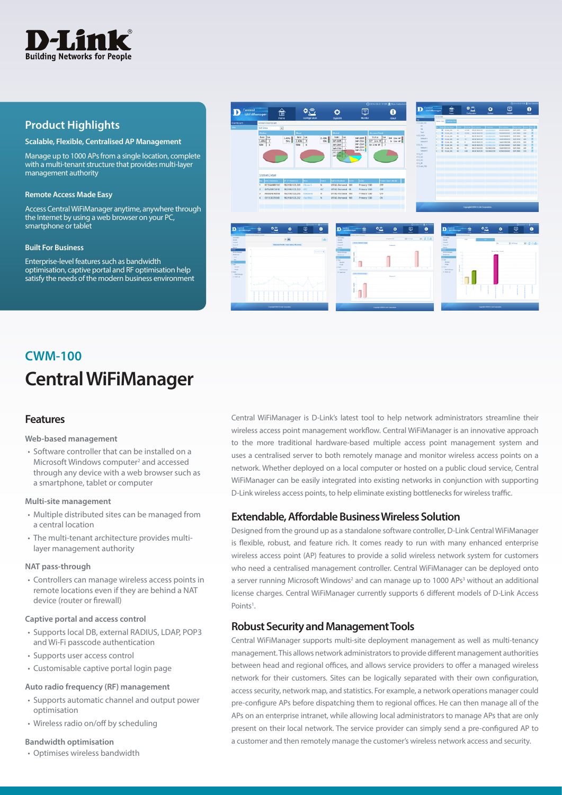

# **Product Highlights**

#### **Scalable, Flexible, Centralised AP Management**

Manage up to 1000 APs from a single location, complete with a multi-tenant structure that provides multi-layer management authority

#### **Remote Access Made Easy**

Access Central WiFiManager anytime, anywhere through the Internet by using a web browser on your PC, smartphone or tablet

#### **Built For Business**

Enterprise-level features such as bandwidth optimisation, captive portal and RF optimisation help satisfy the needs of the modern business environment



# **Central WiFiManager CWM-100**

# **Features**

#### **Web-based management**

• Software controller that can be installed on a Microsoft Windows computer<sup>2</sup> and accessed through any device with a web browser such as a smartphone, tablet or computer

#### **Multi-site management**

- Multiple distributed sites can be managed from a central location
- The multi-tenant architecture provides multilayer management authority

#### **NAT pass-through**

• Controllers can manage wireless access points in remote locations even if they are behind a NAT device (router or firewall)

#### **Captive portal and access control**

- Supports local DB, external RADIUS, LDAP, POP3 and Wi-Fi passcode authentication
- Supports user access control
- Customisable captive portal login page

#### **Auto radio frequency (RF) management**

- Supports automatic channel and output power optimisation
- Wireless radio on/off by scheduling

#### **Bandwidth optimisation**

• Optimises wireless bandwidth

Central WiFiManager is D-Link's latest tool to help network administrators streamline their wireless access point management workflow. Central WiFiManager is an innovative approach to the more traditional hardware-based multiple access point management system and uses a centralised server to both remotely manage and monitor wireless access points on a network. Whether deployed on a local computer or hosted on a public cloud service, Central WiFiManager can be easily integrated into existing networks in conjunction with supporting D-Link wireless access points, to help eliminate existing bottlenecks for wireless traffic.

## **Extendable, Affordable Business Wireless Solution**

Designed from the ground up as a standalone software controller, D-Link Central WiFiManager is flexible, robust, and feature rich. It comes ready to run with many enhanced enterprise wireless access point (AP) features to provide a solid wireless network system for customers who need a centralised management controller. Central WiFiManager can be deployed onto a server running Microsoft Windows<sup>2</sup> and can manage up to 1000 APs<sup>3</sup> without an additional license charges. Central WiFiManager currently supports 6 different models of D-Link Access Points<sup>1</sup>.

## **Robust Security and Management Tools**

Central WiFiManager supports multi-site deployment management as well as multi-tenancy management. This allows network administrators to provide different management authorities between head and regional offices, and allows service providers to offer a managed wireless network for their customers. Sites can be logically separated with their own configuration, access security, network map, and statistics. For example, a network operations manager could pre-configure APs before dispatching them to regional offices. He can then manage all of the APs on an enterprise intranet, while allowing local administrators to manage APs that are only present on their local network. The service provider can simply send a pre-configured AP to a customer and then remotely manage the customer's wireless network access and security.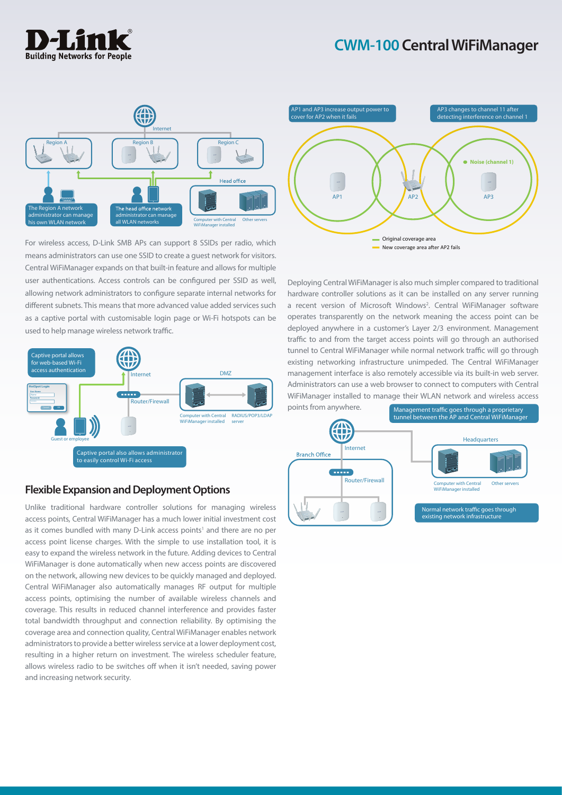# **CWM-100 Central WiFiManager**





For wireless access, D-Link SMB APs can support 8 SSIDs per radio, which means administrators can use one SSID to create a guest network for visitors. Central WiFiManager expands on that built-in feature and allows for multiple user authentications. Access controls can be configured per SSID as well, allowing network administrators to configure separate internal networks for different subnets. This means that more advanced value added services such as a captive portal with customisable login page or Wi-Fi hotspots can be used to help manage wireless network traffic.



# **Flexible Expansion and Deployment Options**

Unlike traditional hardware controller solutions for managing wireless access points, Central WiFiManager has a much lower initial investment cost as it comes bundled with many D-Link access points<sup>1</sup> and there are no per access point license charges. With the simple to use installation tool, it is easy to expand the wireless network in the future. Adding devices to Central WiFiManager is done automatically when new access points are discovered on the network, allowing new devices to be quickly managed and deployed. Central WiFiManager also automatically manages RF output for multiple access points, optimising the number of available wireless channels and coverage. This results in reduced channel interference and provides faster total bandwidth throughput and connection reliability. By optimising the coverage area and connection quality, Central WiFiManager enables network administrators to provide a better wireless service at a lower deployment cost, resulting in a higher return on investment. The wireless scheduler feature, allows wireless radio to be switches off when it isn't needed, saving power and increasing network security.



Deploying Central WiFiManager is also much simpler compared to traditional hardware controller solutions as it can be installed on any server running a recent version of Microsoft Windows<sup>2</sup>. Central WiFiManager software operates transparently on the network meaning the access point can be deployed anywhere in a customer's Layer 2/3 environment. Management traffic to and from the target access points will go through an authorised tunnel to Central WiFiManager while normal network traffic will go through existing networking infrastructure unimpeded. The Central WiFiManager management interface is also remotely accessible via its built-in web server. Administrators can use a web browser to connect to computers with Central WiFiManager installed to manage their WLAN network and wireless access points from anywhere.

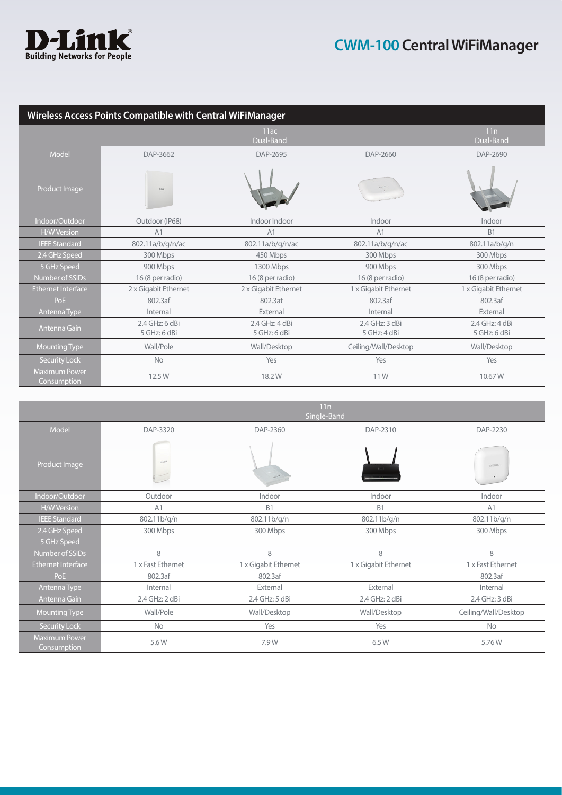

| Wireless Access Points Compatible with Central WiFiManager |                                |                                |                                |                                |  |  |
|------------------------------------------------------------|--------------------------------|--------------------------------|--------------------------------|--------------------------------|--|--|
|                                                            |                                | 11ac                           |                                | 11n                            |  |  |
|                                                            |                                | Dual-Band                      |                                | Dual-Band                      |  |  |
| Model                                                      | DAP-3662                       | DAP-2695                       | DAP-2660                       | DAP-2690                       |  |  |
| Product Image                                              | <b>DEM</b>                     |                                |                                |                                |  |  |
| Indoor/Outdoor                                             | Outdoor (IP68)                 | Indoor Indoor                  | Indoor                         | Indoor                         |  |  |
| <b>H/W Version</b>                                         | A1                             | A1                             | A1                             | <b>B1</b>                      |  |  |
| <b>IEEE Standard</b>                                       | 802.11a/b/g/n/ac               | 802.11a/b/g/n/ac               | 802.11a/b/g/n/ac               | 802.11a/b/g/n                  |  |  |
| 2.4 GHz Speed                                              | 300 Mbps                       | 450 Mbps                       | 300 Mbps                       | 300 Mbps                       |  |  |
| 5 GHz Speed                                                | 900 Mbps                       | 1300 Mbps                      | 900 Mbps                       | 300 Mbps                       |  |  |
| Number of SSIDs                                            | 16 (8 per radio)               | 16 (8 per radio)               | 16 (8 per radio)               | 16 (8 per radio)               |  |  |
| Ethernet Interface                                         | 2 x Gigabit Ethernet           | 2 x Gigabit Ethernet           | 1 x Gigabit Ethernet           | 1 x Gigabit Ethernet           |  |  |
| PoE                                                        | 802.3af                        | 802.3at                        | 802.3af                        | 802.3af                        |  |  |
| Antenna Type                                               | Internal                       | External                       | Internal                       | External                       |  |  |
| Antenna Gain                                               | 2.4 GHz: 6 dBi<br>5 GHz: 6 dBi | 2.4 GHz: 4 dBi<br>5 GHz: 6 dBi | 2.4 GHz: 3 dBi<br>5 GHz: 4 dBi | 2.4 GHz: 4 dBi<br>5 GHz: 6 dBi |  |  |
| <b>Mounting Type</b>                                       | Wall/Pole                      | Wall/Desktop                   | Ceiling/Wall/Desktop           | Wall/Desktop                   |  |  |
| Security Lock                                              | <b>No</b>                      | Yes                            | Yes                            | Yes                            |  |  |
| <b>Maximum Power</b><br>Consumption                        | 12.5 W                         | 18.2W                          | 11W                            | 10.67 W                        |  |  |

|                                     | 11n<br>Single-Band |                      |                      |                      |  |
|-------------------------------------|--------------------|----------------------|----------------------|----------------------|--|
| Model                               | DAP-3320           | DAP-2360             | DAP-2310             | DAP-2230             |  |
| Product Image                       | pus                |                      |                      | <b>D-Link</b>        |  |
| Indoor/Outdoor                      | Outdoor            | Indoor               | Indoor               | Indoor               |  |
| <b>H/W Version</b>                  | A1                 | <b>B1</b>            | <b>B1</b>            | A1                   |  |
| <b>IEEE Standard</b>                | 802.11b/g/n        | 802.11b/g/n          | 802.11b/g/n          | 802.11b/g/n          |  |
| 2.4 GHz Speed                       | 300 Mbps           | 300 Mbps             | 300 Mbps             | 300 Mbps             |  |
| 5 GHz Speed                         |                    |                      |                      |                      |  |
| Number of SSIDs                     | 8                  | 8                    | 8                    | 8                    |  |
| Ethernet Interface                  | 1 x Fast Ethernet  | 1 x Gigabit Ethernet | 1 x Gigabit Ethernet | 1 x Fast Ethernet    |  |
| PoE                                 | 802.3af            | 802.3af              |                      | 802.3af              |  |
| Antenna Type                        | Internal           | External             | External             | Internal             |  |
| Antenna Gain                        | 2.4 GHz: 2 dBi     | 2.4 GHz: 5 dBi       | 2.4 GHz: 2 dBi       | 2.4 GHz: 3 dBi       |  |
| <b>Mounting Type</b>                | Wall/Pole          | Wall/Desktop         | Wall/Desktop         | Ceiling/Wall/Desktop |  |
| Security Lock                       | <b>No</b>          | Yes                  | Yes                  | No                   |  |
| <b>Maximum Power</b><br>Consumption | 5.6W               | 7.9W                 | 6.5 W                | 5.76W                |  |